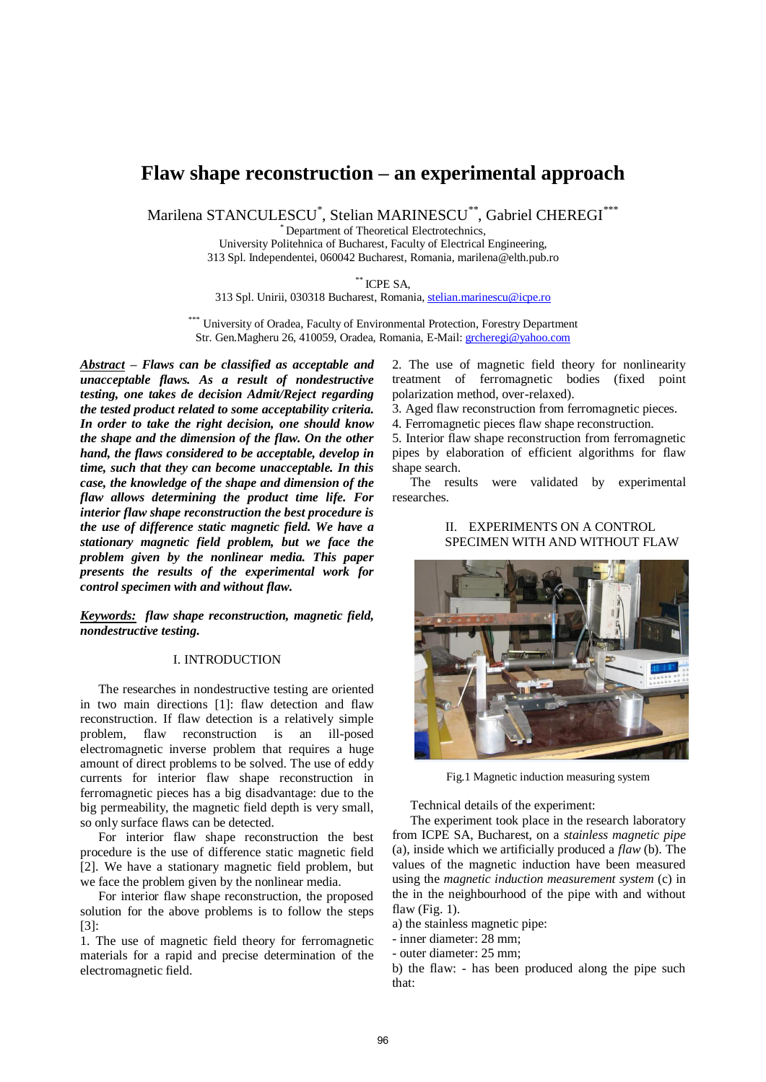# **Flaw shape reconstruction – an experimental approach**

Marilena STANCULESCU\* , Stelian MARINESCU\*\*, Gabriel CHEREGI\*\*\*

\* Department of Theoretical Electrotechnics,

University Politehnica of Bucharest, Faculty of Electrical Engineering, 313 Spl. Independentei, 060042 Bucharest, Romania, marilena@elth.pub.ro

\*\* ICPE SA,

313 Spl. Unirii, 030318 Bucharest, Romania[, stelian.marinescu@icpe.ro](mailto:stelian.marinescu@icpe.ro)

University of Oradea, Faculty of Environmental Protection, Forestry Department Str. Gen.Magheru 26, 410059, Oradea, Romania, E-Mail[: grcheregi@yahoo.com](mailto:grcheregi@yahoo.com)

*Abstract – Flaws can be classified as acceptable and unacceptable flaws. As a result of nondestructive testing, one takes de decision Admit/Reject regarding the tested product related to some acceptability criteria. In order to take the right decision, one should know the shape and the dimension of the flaw. On the other hand, the flaws considered to be acceptable, develop in time, such that they can become unacceptable. In this case, the knowledge of the shape and dimension of the flaw allows determining the product time life. For interior flaw shape reconstruction the best procedure is the use of difference static magnetic field. We have a stationary magnetic field problem, but we face the problem given by the nonlinear media. This paper presents the results of the experimental work for control specimen with and without flaw.* 

*Keywords: flaw shape reconstruction, magnetic field, nondestructive testing.* 

## I. INTRODUCTION

The researches in nondestructive testing are oriented in two main directions [1]: flaw detection and flaw reconstruction. If flaw detection is a relatively simple problem, flaw reconstruction is an ill-posed electromagnetic inverse problem that requires a huge amount of direct problems to be solved. The use of eddy currents for interior flaw shape reconstruction in ferromagnetic pieces has a big disadvantage: due to the big permeability, the magnetic field depth is very small, so only surface flaws can be detected.

For interior flaw shape reconstruction the best procedure is the use of difference static magnetic field [2]. We have a stationary magnetic field problem, but we face the problem given by the nonlinear media.

For interior flaw shape reconstruction, the proposed solution for the above problems is to follow the steps [3]:

1. The use of magnetic field theory for ferromagnetic materials for a rapid and precise determination of the electromagnetic field.

2. The use of magnetic field theory for nonlinearity treatment of ferromagnetic bodies (fixed point polarization method, over-relaxed).

3. Aged flaw reconstruction from ferromagnetic pieces.

4. Ferromagnetic pieces flaw shape reconstruction.

5. Interior flaw shape reconstruction from ferromagnetic pipes by elaboration of efficient algorithms for flaw shape search.

The results were validated by experimental researches.

# II. EXPERIMENTS ON A CONTROL SPECIMEN WITH AND WITHOUT FLAW



Fig.1 Magnetic induction measuring system

Technical details of the experiment:

The experiment took place in the research laboratory from ICPE SA, Bucharest, on a *stainless magnetic pipe* (a), inside which we artificially produced a *flaw* (b). The values of the magnetic induction have been measured using the *magnetic induction measurement system* (c) in the in the neighbourhood of the pipe with and without flaw (Fig. 1).

a) the stainless magnetic pipe:

- inner diameter: 28 mm;

- outer diameter: 25 mm;

b) the flaw: - has been produced along the pipe such that: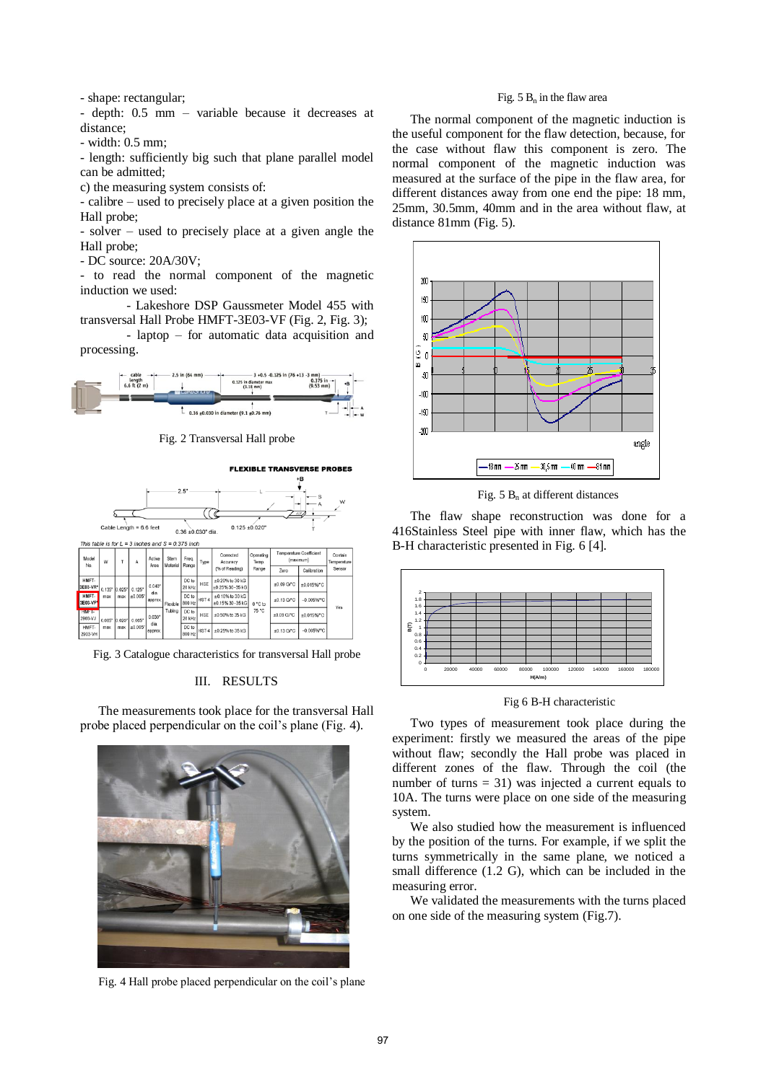- shape: rectangular;

- depth: 0.5 mm – variable because it decreases at distance;

- width: 0.5 mm;

- length: sufficiently big such that plane parallel model can be admitted;

c) the measuring system consists of:

- calibre – used to precisely place at a given position the Hall probe;

- solver – used to precisely place at a given angle the Hall probe;

- DC source: 20A/30V;

- to read the normal component of the magnetic induction we used:

- Lakeshore DSP Gaussmeter Model 455 with transversal Hall Probe HMFT-3E03-VF (Fig. 2, Fig. 3);

- laptop – for automatic data acquisition and processing.



Fig. 2 Transversal Hall probe



Fig. 3 Catalogue characteristics for transversal Hall probe

#### III. RESULTS

The measurements took place for the transversal Hall probe placed perpendicular on the coil's plane (Fig. 4).



Fig. 4 Hall probe placed perpendicular on the coil's plane

#### Fig.  $5 B_n$  in the flaw area

The normal component of the magnetic induction is the useful component for the flaw detection, because, for the case without flaw this component is zero. The normal component of the magnetic induction was measured at the surface of the pipe in the flaw area, for different distances away from one end the pipe: 18 mm, 25mm, 30.5mm, 40mm and in the area without flaw, at distance 81mm (Fig. 5).



Fig.  $5 B_n$  at different distances

The flaw shape reconstruction was done for a 416Stainless Steel pipe with inner flaw, which has the B-H characteristic presented in Fig. 6 [4].



Fig 6 B-H characteristic

Two types of measurement took place during the experiment: firstly we measured the areas of the pipe without flaw; secondly the Hall probe was placed in different zones of the flaw. Through the coil (the number of turns  $= 31$ ) was injected a current equals to 10A. The turns were place on one side of the measuring system.

We also studied how the measurement is influenced by the position of the turns. For example, if we split the turns symmetrically in the same plane, we noticed a small difference (1.2 G), which can be included in the measuring error.

We validated the measurements with the turns placed on one side of the measuring system (Fig.7).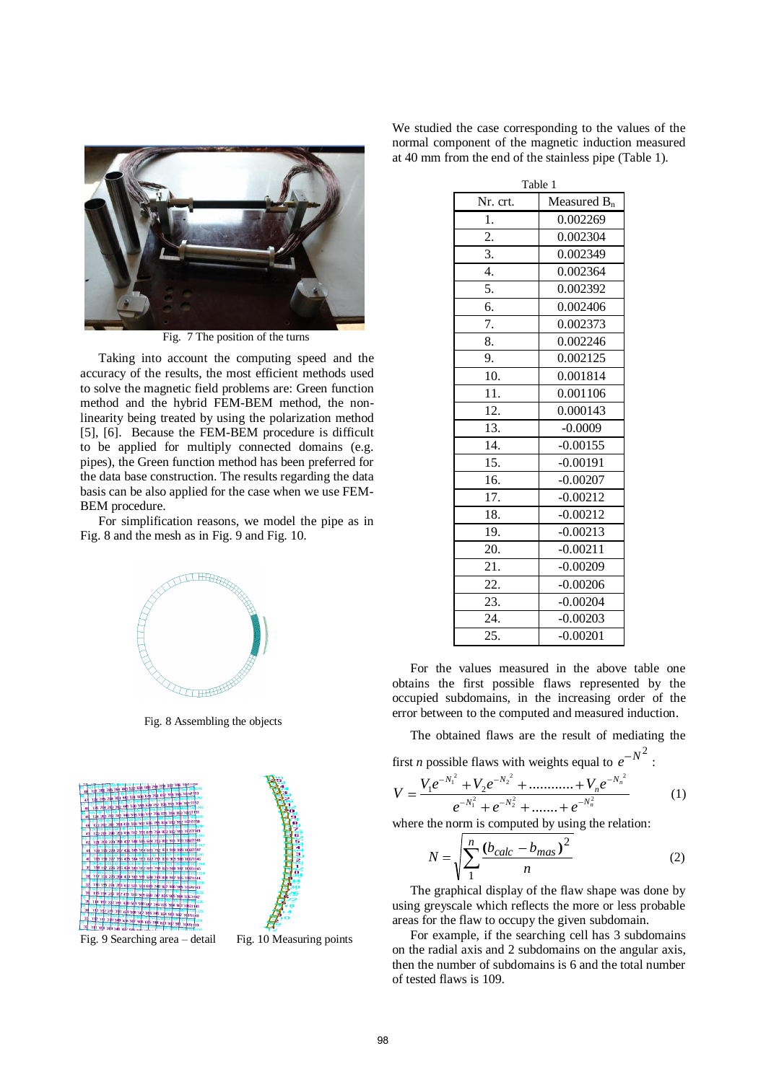

Fig. 7 The position of the turns

Taking into account the computing speed and the accuracy of the results, the most efficient methods used to solve the magnetic field problems are: Green function method and the hybrid FEM-BEM method, the nonlinearity being treated by using the polarization method [5], [6]. Because the FEM-BEM procedure is difficult to be applied for multiply connected domains (e.g. pipes), the Green function method has been preferred for the data base construction. The results regarding the data basis can be also applied for the case when we use FEM-BEM procedure.

For simplification reasons, we model the pipe as in Fig. 8 and the mesh as in Fig. 9 and Fig. 10.



Fig. 8 Assembling the objects





Fig. 9 Searching area – detail Fig. 10 Measuring points

We studied the case corresponding to the values of the normal component of the magnetic induction measured at 40 mm from the end of the stainless pipe (Table 1).

| Table 1          |                |  |  |  |
|------------------|----------------|--|--|--|
| Nr. crt.         | Measured $B_n$ |  |  |  |
| 1.               | 0.002269       |  |  |  |
| $\overline{2}$ . | 0.002304       |  |  |  |
| 3.               | 0.002349       |  |  |  |
| 4.               | 0.002364       |  |  |  |
| 5.               | 0.002392       |  |  |  |
| 6.               | 0.002406       |  |  |  |
| 7.               | 0.002373       |  |  |  |
| 8.               | 0.002246       |  |  |  |
| 9.               | 0.002125       |  |  |  |
| 10.              | 0.001814       |  |  |  |
| 11.              | 0.001106       |  |  |  |
| 12.              | 0.000143       |  |  |  |
| 13.              | $-0.0009$      |  |  |  |
| 14.              | $-0.00155$     |  |  |  |
| 15.              | $-0.00191$     |  |  |  |
| 16.              | $-0.00207$     |  |  |  |
| 17.              | $-0.00212$     |  |  |  |
| 18.              | $-0.00212$     |  |  |  |
| 19.              | $-0.00213$     |  |  |  |
| 20.              | $-0.00211$     |  |  |  |
| 21.              | $-0.00209$     |  |  |  |
| 22.              | $-0.00206$     |  |  |  |
| 23.              | $-0.00204$     |  |  |  |
| 24.              | $-0.00203$     |  |  |  |
| 25.              | $-0.00201$     |  |  |  |

For the values measured in the above table one obtains the first possible flaws represented by the occupied subdomains, in the increasing order of the error between to the computed and measured induction.

The obtained flaws are the result of mediating the

:

first *n* possible flaws with weights equal to 
$$
e^{-N^2}
$$

$$
V = \frac{V_1 e^{-N_1^2} + V_2 e^{-N_2^2} + \dots + V_n e^{-N_n^2}}{e^{-N_1^2} + e^{-N_2^2} + \dots + e^{-N_n^2}}
$$
(1)

where the norm is computed by using the relation:

$$
N = \sqrt{\sum_{1}^{n} \frac{(b_{calc} - b_{mas})^2}{n}}
$$
 (2)

The graphical display of the flaw shape was done by using greyscale which reflects the more or less probable areas for the flaw to occupy the given subdomain.

For example, if the searching cell has 3 subdomains on the radial axis and 2 subdomains on the angular axis, then the number of subdomains is 6 and the total number of tested flaws is 109.